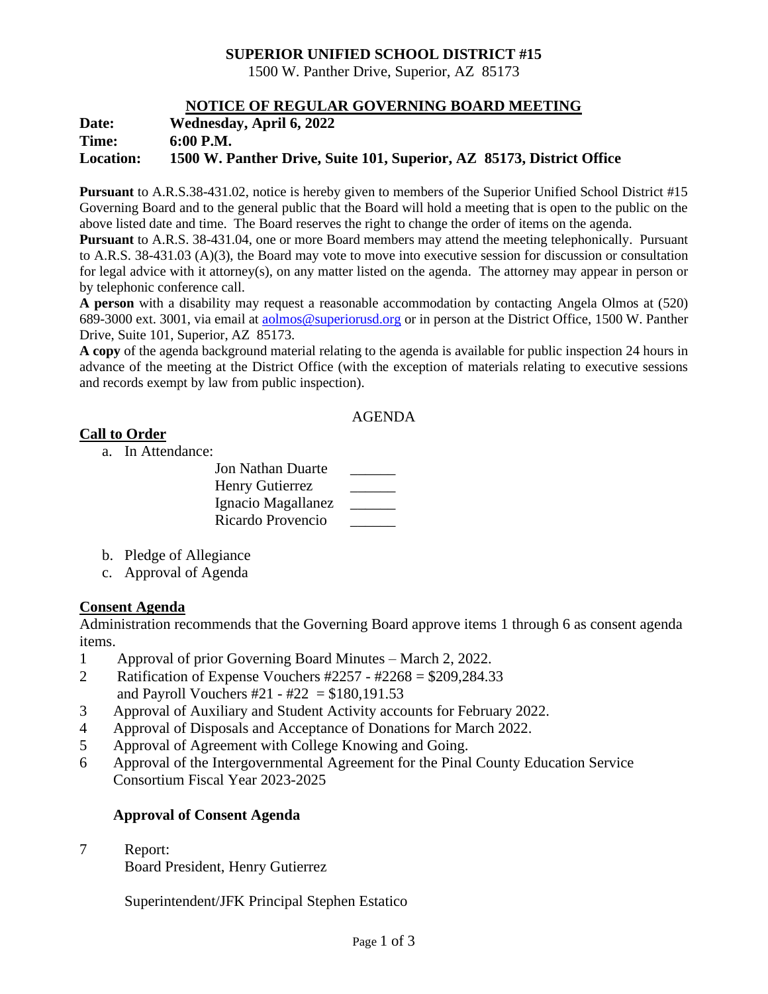## **SUPERIOR UNIFIED SCHOOL DISTRICT #15**

1500 W. Panther Drive, Superior, AZ 85173

## **NOTICE OF REGULAR GOVERNING BOARD MEETING**

| Date:            | <b>Wednesday, April 6, 2022</b>                                       |
|------------------|-----------------------------------------------------------------------|
| Time:            | $6:00$ P.M.                                                           |
| <b>Location:</b> | 1500 W. Panther Drive, Suite 101, Superior, AZ 85173, District Office |

**Pursuant** to A.R.S.38-431.02, notice is hereby given to members of the Superior Unified School District #15 Governing Board and to the general public that the Board will hold a meeting that is open to the public on the above listed date and time. The Board reserves the right to change the order of items on the agenda.

**Pursuant** to A.R.S. 38-431.04, one or more Board members may attend the meeting telephonically. Pursuant to A.R.S. 38-431.03 (A)(3), the Board may vote to move into executive session for discussion or consultation for legal advice with it attorney(s), on any matter listed on the agenda. The attorney may appear in person or by telephonic conference call.

**A person** with a disability may request a reasonable accommodation by contacting Angela Olmos at (520) 689-3000 ext. 3001, via email at [aolmos@superiorusd.org](mailto:aolmos@superiorusd.org) or in person at the District Office, 1500 W. Panther Drive, Suite 101, Superior, AZ 85173.

**A copy** of the agenda background material relating to the agenda is available for public inspection 24 hours in advance of the meeting at the District Office (with the exception of materials relating to executive sessions and records exempt by law from public inspection).

#### AGENDA

## **Call to Order**

a. In Attendance:

- b. Pledge of Allegiance
- c. Approval of Agenda

## **Consent Agenda**

Administration recommends that the Governing Board approve items 1 through 6 as consent agenda items.

- 1 Approval of prior Governing Board Minutes March 2, 2022.
- 2 Ratification of Expense Vouchers #2257 #2268 = \$209,284.33 and Payroll Vouchers #21 - #22 =  $$180,191.53$
- 3 Approval of Auxiliary and Student Activity accounts for February 2022.
- 4 Approval of Disposals and Acceptance of Donations for March 2022.
- 5 Approval of Agreement with College Knowing and Going.
- 6 Approval of the Intergovernmental Agreement for the Pinal County Education Service Consortium Fiscal Year 2023-2025

# **Approval of Consent Agenda**

7 Report:

Board President, Henry Gutierrez

Superintendent/JFK Principal Stephen Estatico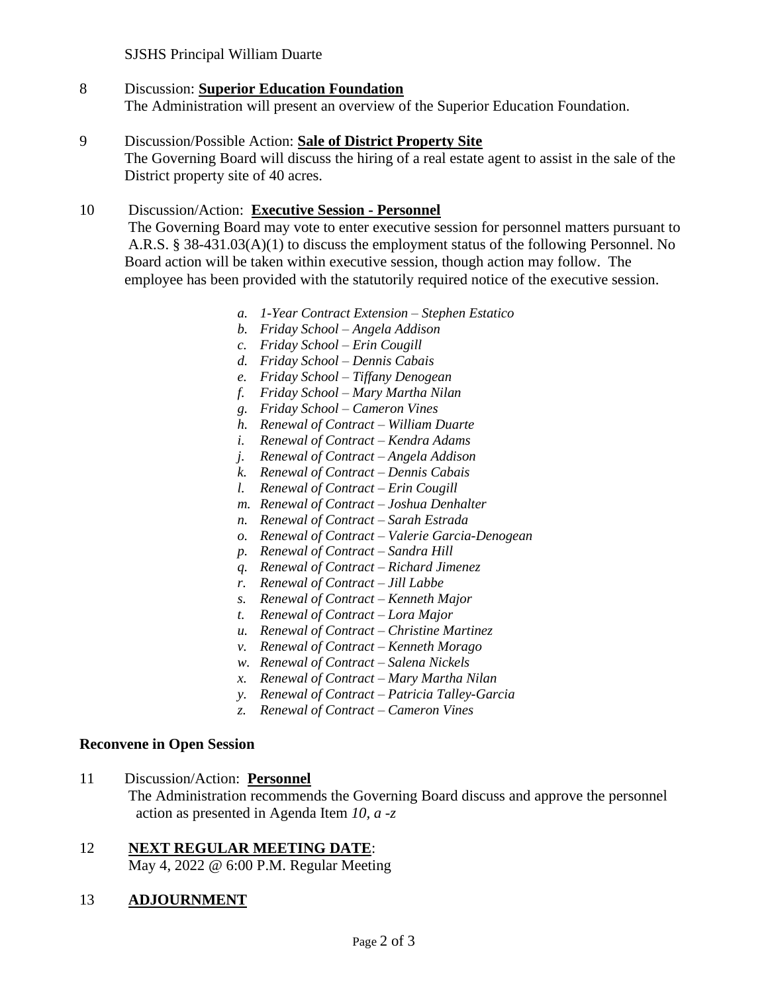## SJSHS Principal William Duarte

#### 8 Discussion: **Superior Education Foundation** The Administration will present an overview of the Superior Education Foundation.

# 9 Discussion/Possible Action: **Sale of District Property Site** The Governing Board will discuss the hiring of a real estate agent to assist in the sale of the District property site of 40 acres.

# 10 Discussion/Action: **Executive Session - Personnel**

 The Governing Board may vote to enter executive session for personnel matters pursuant to A.R.S. § 38-431.03(A)(1) to discuss the employment status of the following Personnel. No Board action will be taken within executive session, though action may follow. The employee has been provided with the statutorily required notice of the executive session.

- *a. 1-Year Contract Extension – Stephen Estatico*
- *b. Friday School – Angela Addison*
- *c. Friday School – Erin Cougill*
- *d. Friday School – Dennis Cabais*
- *e. Friday School – Tiffany Denogean*
- *f. Friday School – Mary Martha Nilan*
- *g. Friday School – Cameron Vines*
- *h. Renewal of Contract – William Duarte*
- *i. Renewal of Contract – Kendra Adams*
- *j. Renewal of Contract – Angela Addison*
- *k. Renewal of Contract – Dennis Cabais*
- *l. Renewal of Contract – Erin Cougill*
- *m. Renewal of Contract – Joshua Denhalter*
- *n. Renewal of Contract – Sarah Estrada*
- *o. Renewal of Contract – Valerie Garcia-Denogean*
- *p. Renewal of Contract – Sandra Hill*
- *q. Renewal of Contract – Richard Jimenez*
- *r. Renewal of Contract – Jill Labbe*
- *s. Renewal of Contract – Kenneth Major*
- *t. Renewal of Contract – Lora Major*
- *u. Renewal of Contract – Christine Martinez*
- *v. Renewal of Contract – Kenneth Morago*
- *w. Renewal of Contract – Salena Nickels*
- *x. Renewal of Contract – Mary Martha Nilan*
- *y. Renewal of Contract – Patricia Talley-Garcia*
- *z. Renewal of Contract – Cameron Vines*

#### **Reconvene in Open Session**

11 Discussion/Action: **Personnel** The Administration recommends the Governing Board discuss and approve the personnel action as presented in Agenda Item *10, a -z*

# 12 **NEXT REGULAR MEETING DATE**:

May 4, 2022 @ 6:00 P.M. Regular Meeting

# 13 **ADJOURNMENT**